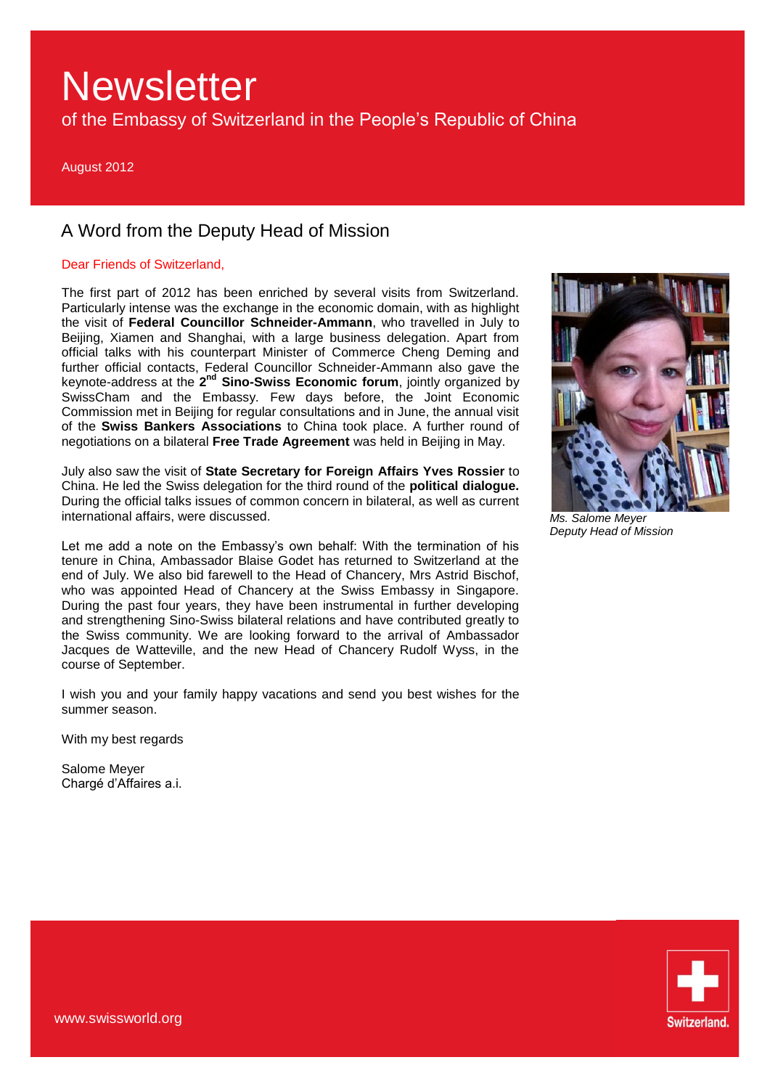of the Embassy of Switzerland in the People's Republic of China

August 2012

## A Word from the Deputy Head of Mission

## Dear Friends of Switzerland,

The first part of 2012 has been enriched by several visits from Switzerland. Particularly intense was the exchange in the economic domain, with as highlight the visit of **Federal Councillor Schneider-Ammann**, who travelled in July to Beijing, Xiamen and Shanghai, with a large business delegation. Apart from official talks with his counterpart Minister of Commerce Cheng Deming and further official contacts, Federal Councillor Schneider-Ammann also gave the keynote-address at the 2<sup>nd</sup> Sino-Swiss Economic forum, jointly organized by SwissCham and the Embassy. Few days before, the Joint Economic Commission met in Beijing for regular consultations and in June, the annual visit of the **Swiss Bankers Associations** to China took place. A further round of negotiations on a bilateral **Free Trade Agreement** was held in Beijing in May.

July also saw the visit of **State Secretary for Foreign Affairs Yves Rossier** to China. He led the Swiss delegation for the third round of the **political dialogue.** During the official talks issues of common concern in bilateral, as well as current international affairs, were discussed.

Let me add a note on the Embassy's own behalf: With the termination of his tenure in China, Ambassador Blaise Godet has returned to Switzerland at the end of July. We also bid farewell to the Head of Chancery, Mrs Astrid Bischof, who was appointed Head of Chancery at the Swiss Embassy in Singapore. During the past four years, they have been instrumental in further developing and strengthening Sino-Swiss bilateral relations and have contributed greatly to the Swiss community. We are looking forward to the arrival of Ambassador Jacques de Watteville, and the new Head of Chancery Rudolf Wyss, in the course of September.

I wish you and your family happy vacations and send you best wishes for the summer season.

With my best regards

Salome Meyer Chargé d'Affaires a.i.



*Ms. Salome Meyer Deputy Head of Mission* 

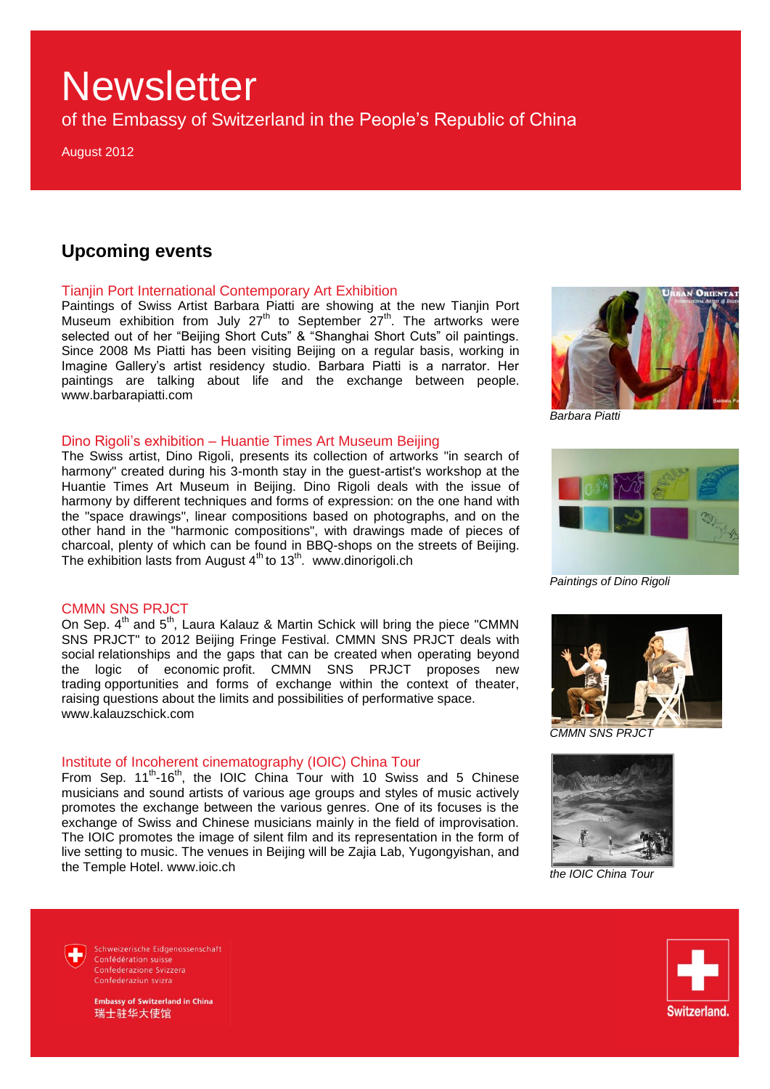of the Embassy of Switzerland in the People's Republic of China

August 2012

## **Upcoming events**

### Tianjin Port International Contemporary Art Exhibition

Paintings of Swiss Artist Barbara Piatti are showing at the new Tianjin Port Museum exhibition from July  $27<sup>th</sup>$  to September  $27<sup>th</sup>$ . The artworks were selected out of her "Beijing Short Cuts" & "Shanghai Short Cuts" oil paintings. Since 2008 Ms Piatti has been visiting Beijing on a regular basis, working in Imagine Gallery's artist residency studio. Barbara Piatti is a narrator. Her paintings are talking about life and the exchange between people. www.barbarapiatti.com

### Dino Rigoli's exhibition – Huantie Times Art Museum Beijing

The Swiss artist, Dino Rigoli, presents its collection of artworks "in search of harmony" created during his 3-month stay in the guest-artist's workshop at the Huantie Times Art Museum in Beijing. Dino Rigoli deals with the issue of harmony by different techniques and forms of expression: on the one hand with the "space drawings", linear compositions based on photographs, and on the other hand in the "harmonic compositions", with drawings made of pieces of charcoal, plenty of which can be found in BBQ-shops on the streets of Beijing. The exhibition lasts from August 4<sup>th</sup> to 13<sup>th</sup>. www.dinorigoli.ch

## CMMN SNS PRJCT

On Sep.  $4^{th}$  and  $5^{th}$ , Laura Kalauz & Martin Schick will bring the piece "CMMN SNS PRJCT" to 2012 Beijing Fringe Festival. CMMN SNS PRJCT deals with social relationships and the gaps that can be created when operating beyond the logic of economic profit. CMMN SNS PRJCT proposes new trading opportunities and forms of exchange within the context of theater, raising questions about the limits and possibilities of performative space. www.kalauzschick.com

## Institute of Incoherent cinematography (IOIC) China Tour

From Sep.  $11^{th}$ -16<sup>th</sup>, the IOIC China Tour with 10 Swiss and 5 Chinese musicians and sound artists of various age groups and styles of music actively promotes the exchange between the various genres. One of its focuses is the exchange of Swiss and Chinese musicians mainly in the field of improvisation. The IOIC promotes the image of silent film and its representation in the form of live setting to music. The venues in Beijing will be Zajia Lab, Yugongyishan, and the Temple Hotel. www.ioic.ch



*Barbara Piatti*



*Paintings of Dino Rigoli*



*CMMN SNS PRJCT*



*the IOIC China Tour*



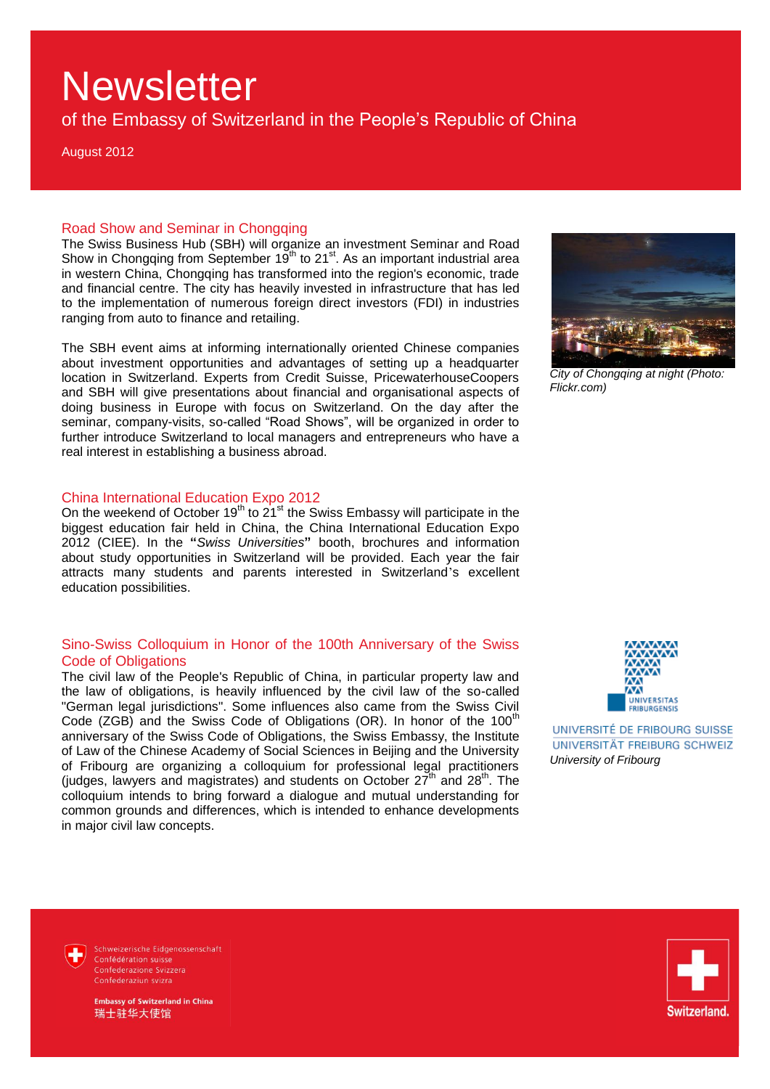of the Embassy of Switzerland in the People's Republic of China

August 2012

### Road Show and Seminar in Chongqing

The Swiss Business Hub (SBH) will organize an investment Seminar and Road Show in Chongqing from September  $19<sup>th</sup>$  to 21<sup>st</sup>. As an important industrial area in western China, Chongqing has transformed into the region's economic, trade and financial centre. The city has heavily invested in infrastructure that has led to the implementation of numerous foreign direct investors (FDI) in industries ranging from auto to finance and retailing.

The SBH event aims at informing internationally oriented Chinese companies about investment opportunities and advantages of setting up a headquarter location in Switzerland. Experts from Credit Suisse, PricewaterhouseCoopers and SBH will give presentations about financial and organisational aspects of doing business in Europe with focus on Switzerland. On the day after the seminar, company-visits, so-called "Road Shows", will be organized in order to further introduce Switzerland to local managers and entrepreneurs who have a real interest in establishing a business abroad.

#### China International Education Expo 2012

On the weekend of October 19<sup>th</sup> to 21<sup>st</sup> the Swiss Embassy will participate in the biggest education fair held in China, the China International Education Expo 2012 (CIEE). In the **"***Swiss Universities***"** booth, brochures and information about study opportunities in Switzerland will be provided. Each year the fair attracts many students and parents interested in Switzerland's excellent education possibilities.

### Sino-Swiss Colloquium in Honor of the 100th Anniversary of the Swiss Code of Obligations

The civil law of the People's Republic of China, in particular property law and the law of obligations, is heavily influenced by the civil law of the so-called "German legal jurisdictions". Some influences also came from the Swiss Civil Code (ZGB) and the Swiss Code of Obligations (OR). In honor of the  $100<sup>th</sup>$ anniversary of the Swiss Code of Obligations, the Swiss Embassy, the Institute of Law of the Chinese Academy of Social Sciences in Beijing and the University of Fribourg are organizing a colloquium for professional legal practitioners (judges, lawyers and magistrates) and students on October  $27<sup>th</sup>$  and  $28<sup>th</sup>$ . The colloquium intends to bring forward a dialogue and mutual understanding for common grounds and differences, which is intended to enhance developments in major civil law concepts.



*City of Chongqing at night (Photo: Flickr.com)*



UNIVERSITÉ DE FRIBOURG SUISSE UNIVERSITÄT FREIBURG SCHWEIZ *University of Fribourg*

Schweizerische Eidgenossenschaft Confédération suisse Confederazione Svizzera Confederaziun svizra

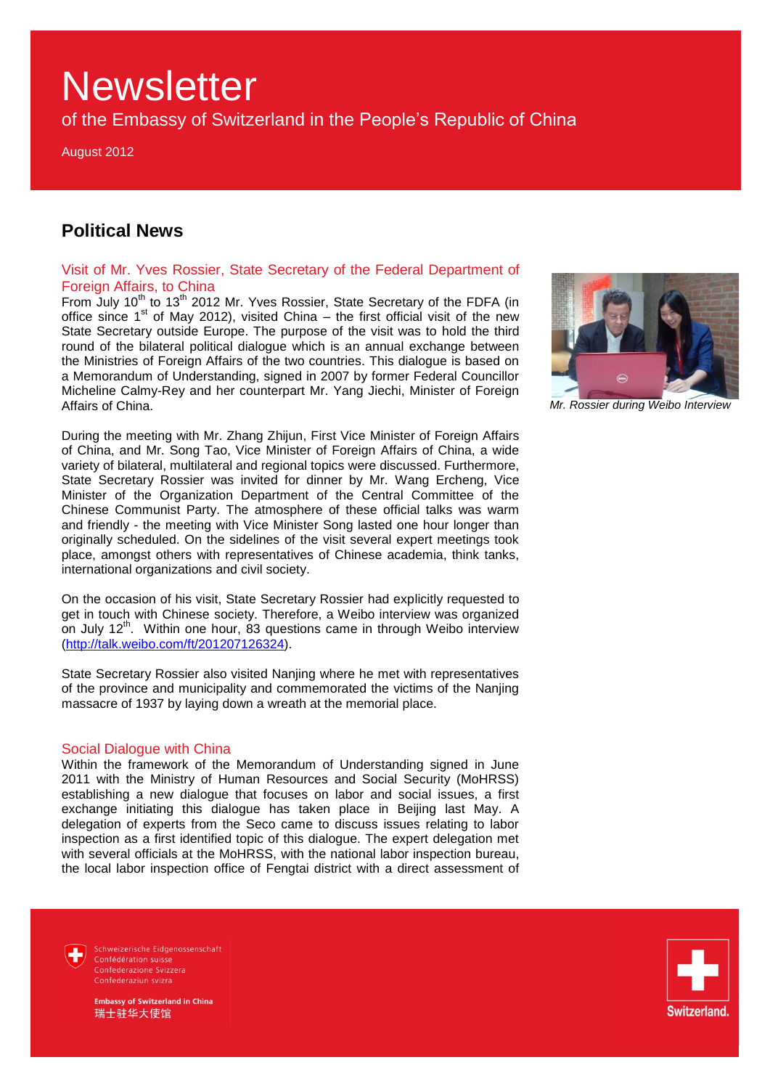of the Embassy of Switzerland in the People's Republic of China

August 2012

## **Political News**

## Visit of Mr. Yves Rossier, State Secretary of the Federal Department of Foreign Affairs, to China

From July 10<sup>th</sup> to 13<sup>th</sup> 2012 Mr. Yves Rossier, State Secretary of the FDFA (in office since  $1<sup>st</sup>$  of May 2012), visited China – the first official visit of the new State Secretary outside Europe. The purpose of the visit was to hold the third round of the bilateral political dialogue which is an annual exchange between the Ministries of Foreign Affairs of the two countries. This dialogue is based on a Memorandum of Understanding, signed in 2007 by former Federal Councillor Micheline Calmy-Rey and her counterpart Mr. Yang Jiechi, Minister of Foreign Affairs of China.

During the meeting with Mr. Zhang Zhijun, First Vice Minister of Foreign Affairs of China, and Mr. Song Tao, Vice Minister of Foreign Affairs of China, a wide variety of bilateral, multilateral and regional topics were discussed. Furthermore, State Secretary Rossier was invited for dinner by Mr. Wang Ercheng, Vice Minister of the Organization Department of the Central Committee of the Chinese Communist Party. The atmosphere of these official talks was warm and friendly - the meeting with Vice Minister Song lasted one hour longer than originally scheduled. On the sidelines of the visit several expert meetings took place, amongst others with representatives of Chinese academia, think tanks, international organizations and civil society.

On the occasion of his visit, State Secretary Rossier had explicitly requested to get in touch with Chinese society. Therefore, a Weibo interview was organized on July 12<sup>th</sup>. Within one hour, 83 questions came in through Weibo interview [\(http://talk.weibo.com/ft/201207126324\)](http://talk.weibo.com/ft/201207126324).

State Secretary Rossier also visited Nanjing where he met with representatives of the province and municipality and commemorated the victims of the Nanjing massacre of 1937 by laying down a wreath at the memorial place.

#### Social Dialogue with China

Within the framework of the Memorandum of Understanding signed in June 2011 with the Ministry of Human Resources and Social Security (MoHRSS) establishing a new dialogue that focuses on labor and social issues, a first exchange initiating this dialogue has taken place in Beijing last May. A delegation of experts from the Seco came to discuss issues relating to labor inspection as a first identified topic of this dialogue. The expert delegation met with several officials at the MoHRSS, with the national labor inspection bureau, the local labor inspection office of Fengtai district with a direct assessment of



*Mr. Rossier during Weibo Interview* 



Switzerland.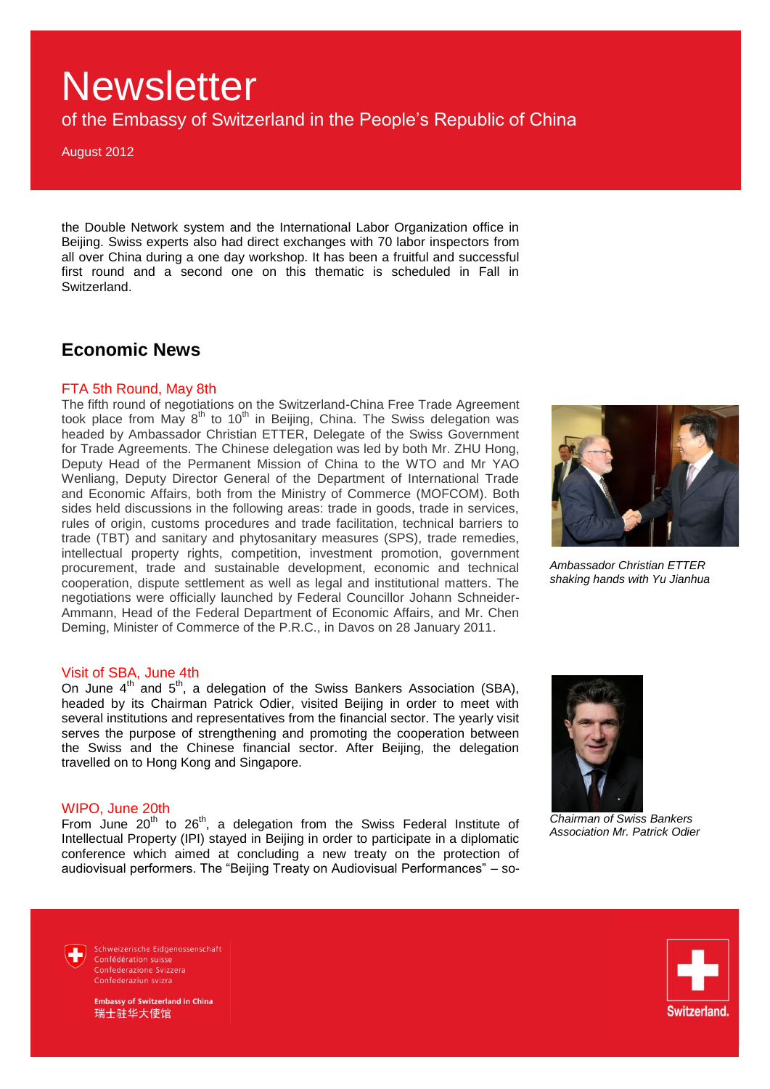of the Embassy of Switzerland in the People's Republic of China

August 2012

the Double Network system and the International Labor Organization office in Beijing. Swiss experts also had direct exchanges with 70 labor inspectors from all over China during a one day workshop. It has been a fruitful and successful first round and a second one on this thematic is scheduled in Fall in Switzerland.

## **Economic News**

#### FTA 5th Round, May 8th

The fifth round of negotiations on the Switzerland-China Free Trade Agreement took place from May 8<sup>th</sup> to 10<sup>th</sup> in Beijing, China. The Swiss delegation was headed by Ambassador Christian ETTER, Delegate of the Swiss Government for Trade Agreements. The Chinese delegation was led by both Mr. ZHU Hong, Deputy Head of the Permanent Mission of China to the WTO and Mr YAO Wenliang, Deputy Director General of the Department of International Trade and Economic Affairs, both from the Ministry of Commerce (MOFCOM). Both sides held discussions in the following areas: trade in goods, trade in services, rules of origin, customs procedures and trade facilitation, technical barriers to trade (TBT) and sanitary and phytosanitary measures (SPS), trade remedies, intellectual property rights, competition, investment promotion, government procurement, trade and sustainable development, economic and technical cooperation, dispute settlement as well as legal and institutional matters. The negotiations were officially launched by Federal Councillor Johann Schneider-Ammann, Head of the Federal Department of Economic Affairs, and Mr. Chen Deming, Minister of Commerce of the P.R.C., in Davos on 28 January 2011.



*Ambassador Christian ETTER shaking hands with Yu Jianhua*

#### Visit of SBA, June 4th

On June  $4^{\text{th}}$  and  $5^{\text{th}}$ , a delegation of the Swiss Bankers Association (SBA), headed by its Chairman Patrick Odier, visited Beijing in order to meet with several institutions and representatives from the financial sector. The yearly visit serves the purpose of strengthening and promoting the cooperation between the Swiss and the Chinese financial sector. After Beijing, the delegation travelled on to Hong Kong and Singapore.

#### WIPO, June 20th

From June  $20^{th}$  to  $26^{th}$ , a delegation from the Swiss Federal Institute of Intellectual Property (IPI) stayed in Beijing in order to participate in a diplomatic conference which aimed at concluding a new treaty on the protection of audiovisual performers. The "Beijing Treaty on Audiovisual Performances" – so-



*Chairman of Swiss Bankers Association Mr. Patrick Odier*

Schweizerische Eidgenossenschaft Confédération suisse Confederazione Svizzera Confederaziun svizra

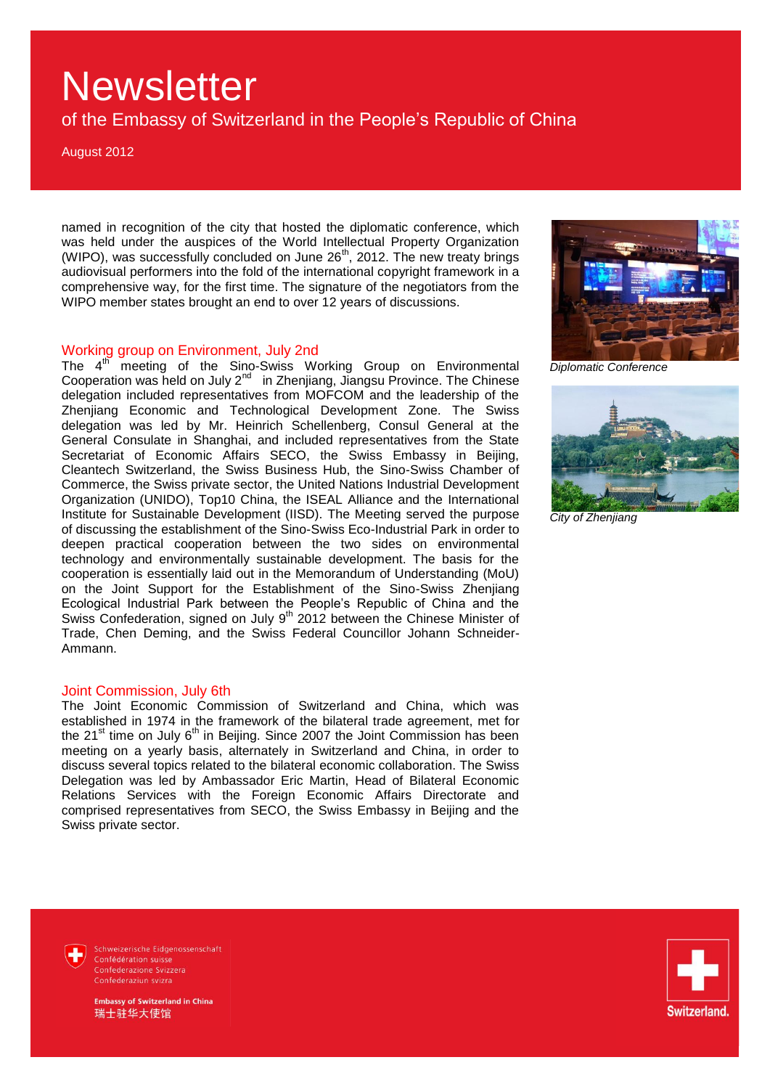of the Embassy of Switzerland in the People's Republic of China

August 2012

named in recognition of the city that hosted the diplomatic conference, which was held under the auspices of the World Intellectual Property Organization (WIPO), was successfully concluded on June 26<sup>th</sup>, 2012. The new treaty brings audiovisual performers into the fold of the international copyright framework in a comprehensive way, for the first time. The signature of the negotiators from the WIPO member states brought an end to over 12 years of discussions.

## Working group on Environment, July 2nd

The 4<sup>th</sup> meeting of the Sino-Swiss Working Group on Environmental Cooperation was held on July 2<sup>nd</sup> in Zhenjiang, Jiangsu Province. The Chinese delegation included representatives from MOFCOM and the leadership of the Zhenjiang Economic and Technological Development Zone. The Swiss delegation was led by Mr. Heinrich Schellenberg, Consul General at the General Consulate in Shanghai, and included representatives from the State Secretariat of Economic Affairs SECO, the Swiss Embassy in Beijing, Cleantech Switzerland, the Swiss Business Hub, the Sino-Swiss Chamber of Commerce, the Swiss private sector, the United Nations Industrial Development Organization (UNIDO), Top10 China, the ISEAL Alliance and the International Institute for Sustainable Development (IISD). The Meeting served the purpose of discussing the establishment of the Sino-Swiss Eco-Industrial Park in order to deepen practical cooperation between the two sides on environmental technology and environmentally sustainable development. The basis for the cooperation is essentially laid out in the Memorandum of Understanding (MoU) on the Joint Support for the Establishment of the Sino-Swiss Zhenjiang Ecological Industrial Park between the People's Republic of China and the Swiss Confederation, signed on July 9<sup>th</sup> 2012 between the Chinese Minister of Trade, Chen Deming, and the Swiss Federal Councillor Johann Schneider-Ammann.

#### Joint Commission, July 6th

The Joint Economic Commission of Switzerland and China, which was established in 1974 in the framework of the bilateral trade agreement, met for the  $21<sup>st</sup>$  time on July  $6<sup>th</sup>$  in Beijing. Since 2007 the Joint Commission has been meeting on a yearly basis, alternately in Switzerland and China, in order to discuss several topics related to the bilateral economic collaboration. The Swiss Delegation was led by Ambassador Eric Martin, Head of Bilateral Economic Relations Services with the Foreign Economic Affairs Directorate and comprised representatives from SECO, the Swiss Embassy in Beijing and the Swiss private sector.



*Diplomatic Conference*



*City of Zhenjiang*



Schweizerische Eidgenossenschaft Confédération suisse Confederazione Svizzera Confederaziun svizra

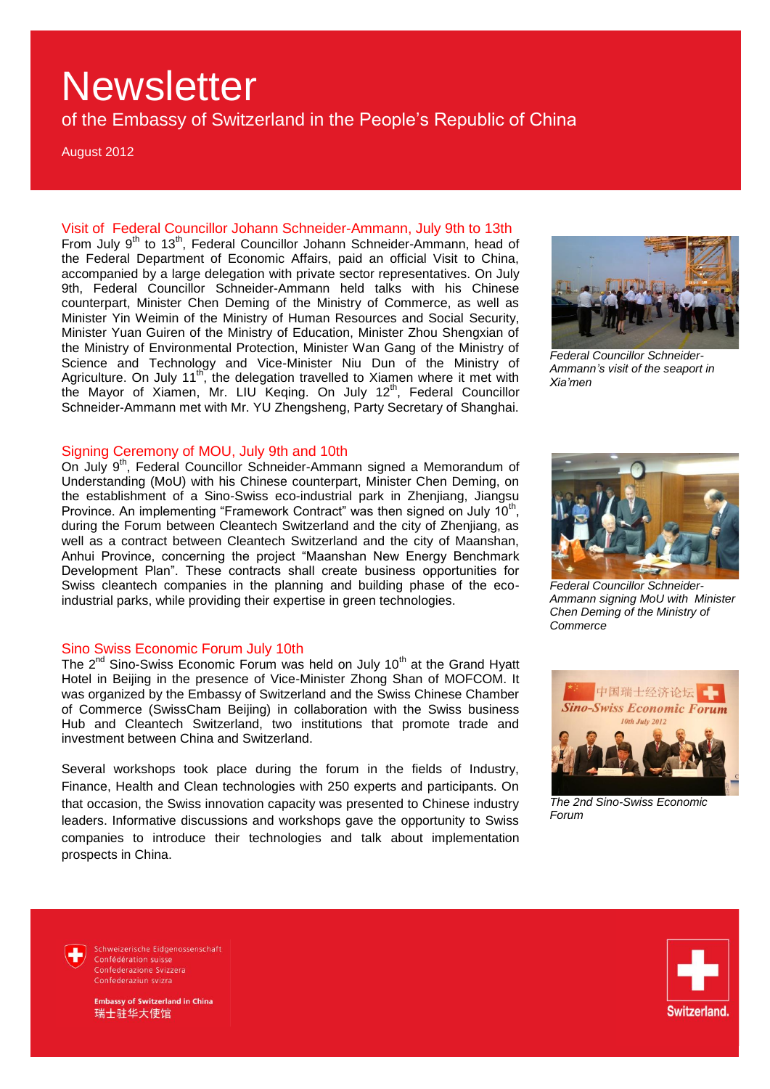of the Embassy of Switzerland in the People's Republic of China

August 2012

Visit of Federal Councillor Johann Schneider-Ammann, July 9th to 13th From July  $9^{th}$  to 13<sup>th</sup>, Federal Councillor Johann Schneider-Ammann, head of the Federal Department of Economic Affairs, paid an official Visit to China, accompanied by a large delegation with private sector representatives. On July 9th, Federal Councillor Schneider-Ammann held talks with his Chinese counterpart, Minister Chen Deming of the Ministry of Commerce, as well as Minister Yin Weimin of the Ministry of Human Resources and Social Security, Minister Yuan Guiren of the Ministry of Education, Minister Zhou Shengxian of the Ministry of Environmental Protection, Minister Wan Gang of the Ministry of Science and Technology and Vice-Minister Niu Dun of the Ministry of Agriculture. On July 11<sup>th</sup>, the delegation travelled to Xiamen where it met with the Mayor of Xiamen, Mr. LIU Keqing. On July 12<sup>th</sup>, Federal Councillor Schneider-Ammann met with Mr. YU Zhengsheng, Party Secretary of Shanghai.

### Signing Ceremony of MOU, July 9th and 10th

On July 9<sup>th</sup>, Federal Councillor Schneider-Ammann signed a Memorandum of Understanding (MoU) with his Chinese counterpart, Minister Chen Deming, on the establishment of a Sino-Swiss eco-industrial park in Zhenjiang, Jiangsu Province. An implementing "Framework Contract" was then signed on July  $10<sup>th</sup>$ , during the Forum between Cleantech Switzerland and the city of Zhenjiang, as well as a contract between Cleantech Switzerland and the city of Maanshan, Anhui Province, concerning the project "Maanshan New Energy Benchmark Development Plan". These contracts shall create business opportunities for Swiss cleantech companies in the planning and building phase of the ecoindustrial parks, while providing their expertise in green technologies.

### Sino Swiss Economic Forum July 10th

The  $2^{nd}$  Sino-Swiss Economic Forum was held on July 10<sup>th</sup> at the Grand Hyatt Hotel in Beijing in the presence of Vice-Minister Zhong Shan of MOFCOM. It was organized by the Embassy of Switzerland and the Swiss Chinese Chamber of Commerce (SwissCham Beijing) in collaboration with the Swiss business Hub and Cleantech Switzerland, two institutions that promote trade and investment between China and Switzerland.

Several workshops took place during the forum in the fields of Industry, Finance, Health and Clean technologies with 250 experts and participants. On that occasion, the Swiss innovation capacity was presented to Chinese industry leaders. Informative discussions and workshops gave the opportunity to Swiss companies to introduce their technologies and talk about implementation prospects in China.



*Federal Councillor Schneider-Ammann's visit of the seaport in Xia'men*



*Federal Councillor Schneider-Ammann signing MoU with Minister Chen Deming of the Ministry of Commerce*



*The 2nd Sino-Swiss Economic Forum* 

Schweizerische Eidgenossenschaft Confédération suisse Confederazione Svizzera Confederaziun svizra

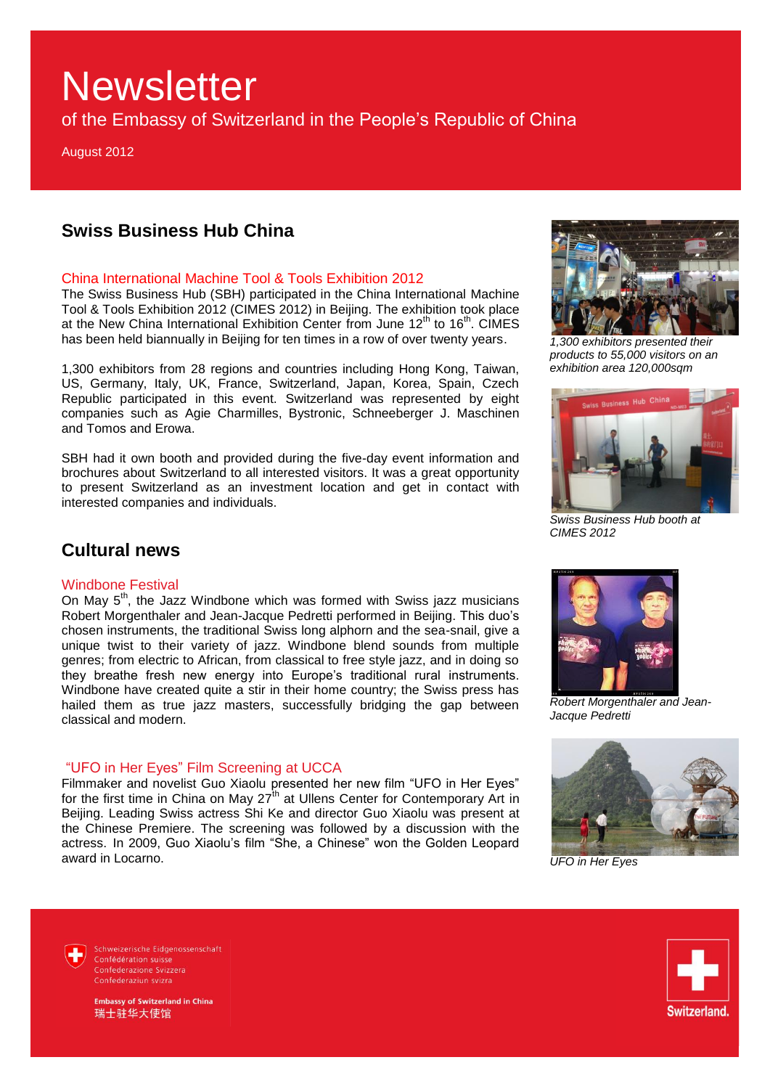of the Embassy of Switzerland in the People's Republic of China

August 2012

## **Swiss Business Hub China**

### China International Machine Tool & Tools Exhibition 2012

The Swiss Business Hub (SBH) participated in the China International Machine Tool & Tools Exhibition 2012 (CIMES 2012) in Beijing. The exhibition took place at the New China International Exhibition Center from June  $12<sup>th</sup>$  to  $16<sup>th</sup>$ . CIMES has been held biannually in Beijing for ten times in a row of over twenty years.

1,300 exhibitors from 28 regions and countries including Hong Kong, Taiwan, US, Germany, Italy, UK, France, Switzerland, Japan, Korea, Spain, Czech Republic participated in this event. Switzerland was represented by eight companies such as Agie Charmilles, Bystronic, Schneeberger J. Maschinen and Tomos and Erowa.

SBH had it own booth and provided during the five-day event information and brochures about Switzerland to all interested visitors. It was a great opportunity to present Switzerland as an investment location and get in contact with interested companies and individuals.



*1,300 exhibitors presented their products to 55,000 visitors on an exhibition area 120,000sqm* 



*Swiss Business Hub booth at CIMES 2012* 

## **Cultural news**

### Windbone Festival

On May  $5<sup>th</sup>$ , the Jazz Windbone which was formed with Swiss jazz musicians Robert Morgenthaler and Jean-Jacque Pedretti performed in Beijing. This duo's chosen instruments, the traditional Swiss long alphorn and the sea-snail, give a unique twist to their variety of jazz. Windbone blend sounds from multiple genres; from electric to African, from classical to free style jazz, and in doing so they breathe fresh new energy into Europe's traditional rural instruments. Windbone have created quite a stir in their home country; the Swiss press has hailed them as true jazz masters, successfully bridging the gap between classical and modern.

## "UFO in Her Eyes" Film Screening at UCCA

Filmmaker and novelist Guo Xiaolu presented her new film "UFO in Her Eyes" for the first time in China on May 27<sup>th</sup> at Ullens Center for Contemporary Art in Beijing. Leading Swiss actress Shi Ke and director Guo Xiaolu was present at the Chinese Premiere. The screening was followed by a discussion with the actress. In 2009, Guo Xiaolu's film "She, a Chinese" won the Golden Leopard award in Locarno.



*Robert Morgenthaler and Jean-Jacque Pedretti*



*UFO in Her Eyes*

Schweizerische Eidgenossenschaft Confédération suisse Confederazione Svizzera Confederaziun svizra

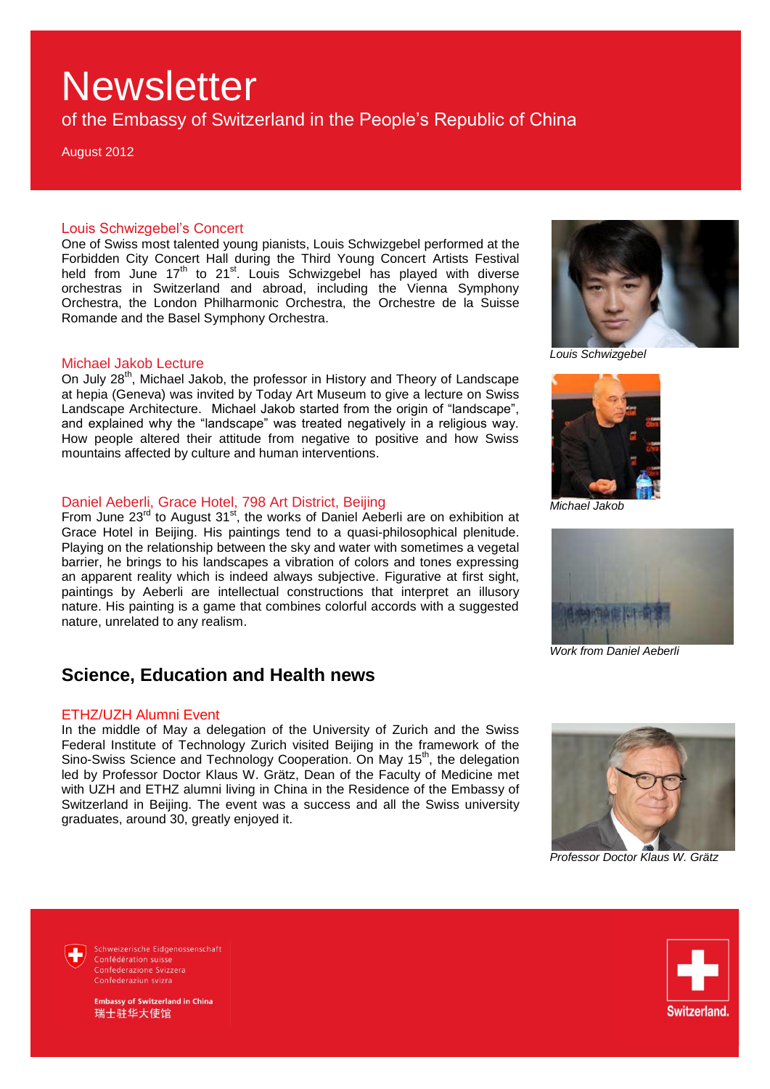of the Embassy of Switzerland in the People's Republic of China

August 2012

#### Louis Schwizgebel's Concert

One of Swiss most talented young pianists, Louis Schwizgebel performed at the Forbidden City Concert Hall during the Third Young Concert Artists Festival held from June  $17<sup>th</sup>$  to 21<sup>st</sup>. Louis Schwizgebel has played with diverse orchestras in Switzerland and abroad, including the Vienna Symphony Orchestra, the London Philharmonic Orchestra, the Orchestre de la Suisse Romande and the Basel Symphony Orchestra.

#### Michael Jakob Lecture

On July 28<sup>th</sup>, Michael Jakob, the professor in History and Theory of Landscape at hepia (Geneva) was invited by Today Art Museum to give a lecture on Swiss Landscape Architecture. Michael Jakob started from the origin of "landscape", and explained why the "landscape" was treated negatively in a religious way. How people altered their attitude from negative to positive and how Swiss mountains affected by culture and human interventions.

## Daniel Aeberli, Grace Hotel, 798 Art District, Beijing

From June  $23<sup>rd</sup>$  to August  $31<sup>st</sup>$ , the works of Daniel Aeberli are on exhibition at Grace Hotel in Beijing. His paintings tend to a quasi-philosophical plenitude. Playing on the relationship between the sky and water with sometimes a vegetal barrier, he brings to his landscapes a vibration of colors and tones expressing an apparent reality which is indeed always subjective. Figurative at first sight, paintings by Aeberli are intellectual constructions that interpret an illusory nature. His painting is a game that combines colorful accords with a suggested nature, unrelated to any realism.

## **Science, Education and Health news**

#### ETHZ/UZH Alumni Event

In the middle of May a delegation of the University of Zurich and the Swiss Federal Institute of Technology Zurich visited Beijing in the framework of the Sino-Swiss Science and Technology Cooperation. On May 15<sup>th</sup>, the delegation led by Professor Doctor Klaus W. Grätz, Dean of the Faculty of Medicine met with UZH and ETHZ alumni living in China in the Residence of the Embassy of Switzerland in Beijing. The event was a success and all the Swiss university graduates, around 30, greatly enjoyed it.



*Louis Schwizgebel*



*Michael Jakob*



*Work from Daniel Aeberli* 



*Professor Doctor Klaus W. Grätz*

Schweizerische Eidgenossenschaft Confédération suisse Confederazione Svizzera Confederaziun svizra

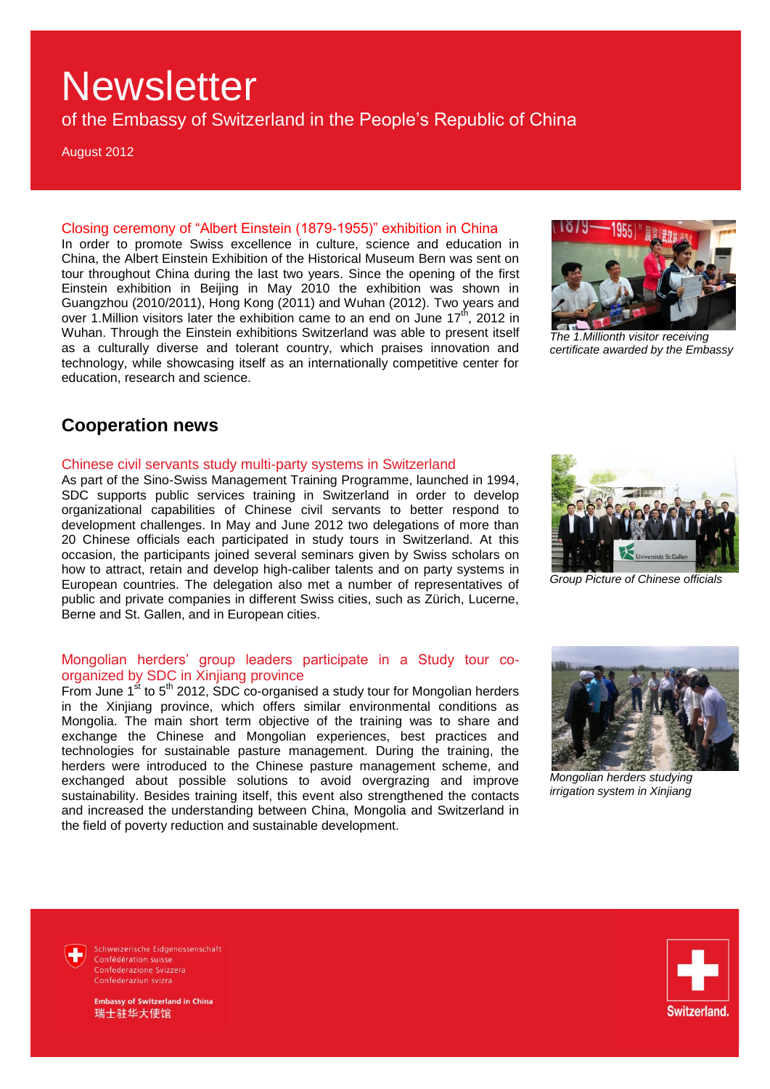of the Embassy of Switzerland in the People's Republic of China

August 2012

Closing ceremony of "Albert Einstein (1879-1955)" exhibition in China In order to promote Swiss excellence in culture, science and education in China, the Albert Einstein Exhibition of the Historical Museum Bern was sent on tour throughout China during the last two years. Since the opening of the first Einstein exhibition in Beijing in May 2010 the exhibition was shown in Guangzhou (2010/2011), Hong Kong (2011) and Wuhan (2012). Two years and over 1. Million visitors later the exhibition came to an end on June  $17<sup>th</sup>$ , 2012 in Wuhan. Through the Einstein exhibitions Switzerland was able to present itself as a culturally diverse and tolerant country, which praises innovation and technology, while showcasing itself as an internationally competitive center for education, research and science.



*The 1.Millionth visitor receiving certificate awarded by the Embassy* 

## **Cooperation news**

#### Chinese civil servants study multi-party systems in Switzerland

As part of the Sino-Swiss Management Training Programme, launched in 1994, SDC supports public services training in Switzerland in order to develop organizational capabilities of Chinese civil servants to better respond to development challenges. In May and June 2012 two delegations of more than 20 Chinese officials each participated in study tours in Switzerland. At this occasion, the participants joined several seminars given by Swiss scholars on how to attract, retain and develop high-caliber talents and on party systems in European countries. The delegation also met a number of representatives of public and private companies in different Swiss cities, such as Zürich, Lucerne, Berne and St. Gallen, and in European cities.



*Group Picture of Chinese officials* 

## Mongolian herders' group leaders participate in a Study tour coorganized by SDC in Xinjiang province

From June  $1<sup>st</sup>$  to 5<sup>th</sup> 2012, SDC co-organised a study tour for Mongolian herders in the Xinjiang province, which offers similar environmental conditions as Mongolia. The main short term objective of the training was to share and exchange the Chinese and Mongolian experiences, best practices and technologies for sustainable pasture management. During the training, the herders were introduced to the Chinese pasture management scheme, and exchanged about possible solutions to avoid overgrazing and improve sustainability. Besides training itself, this event also strengthened the contacts and increased the understanding between China, Mongolia and Switzerland in the field of poverty reduction and sustainable development.



*Mongolian herders studying irrigation system in Xinjiang*

Schweizerische Eidgenossenschaft Confédération suisse Confederazione Svizzera Confederaziun svizra

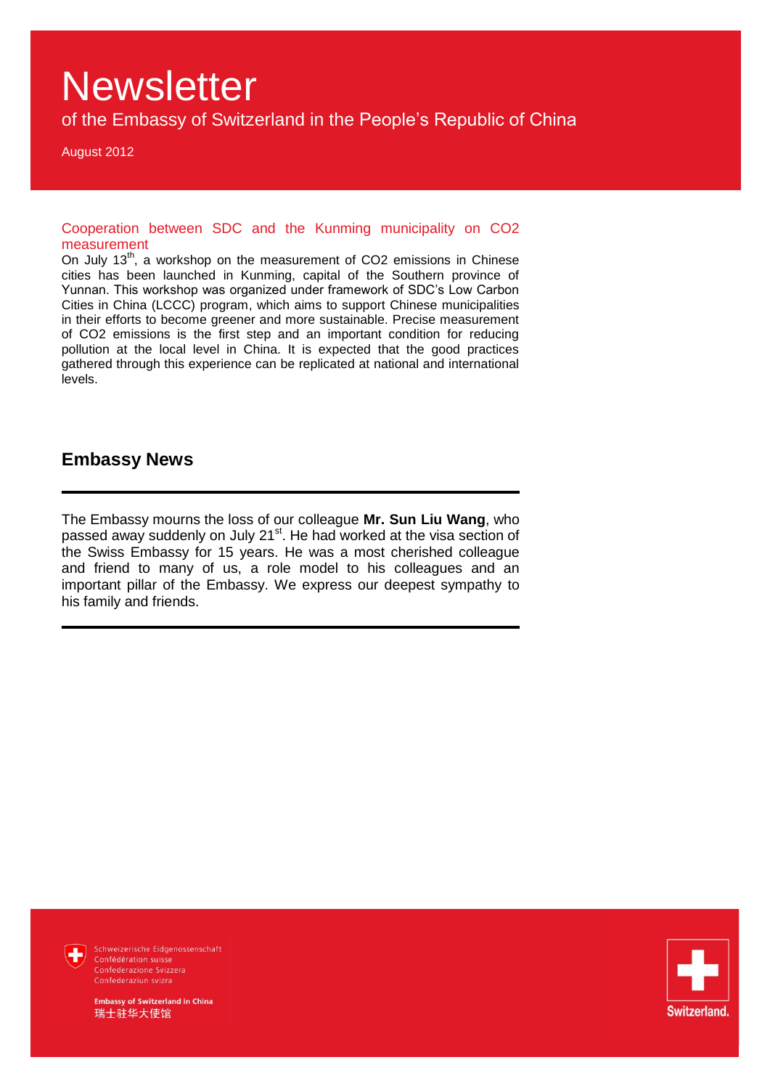of the Embassy of Switzerland in the People's Republic of China

August 2012

Cooperation between SDC and the Kunming municipality on CO2 measurement

On July  $13<sup>th</sup>$ , a workshop on the measurement of CO2 emissions in Chinese cities has been launched in Kunming, capital of the Southern province of Yunnan. This workshop was organized under framework of SDC's Low Carbon Cities in China (LCCC) program, which aims to support Chinese municipalities in their efforts to become greener and more sustainable. Precise measurement of CO2 emissions is the first step and an important condition for reducing pollution at the local level in China. It is expected that the good practices gathered through this experience can be replicated at national and international levels.

## **Embassy News**

The Embassy mourns the loss of our colleague **Mr. Sun Liu Wang**, who passed away suddenly on July 21<sup>st</sup>. He had worked at the visa section of the Swiss Embassy for 15 years. He was a most cherished colleague and friend to many of us, a role model to his colleagues and an important pillar of the Embassy. We express our deepest sympathy to his family and friends.



Schweizerische Eidgenossenschaft Confédération suisse Confederaziun svizra